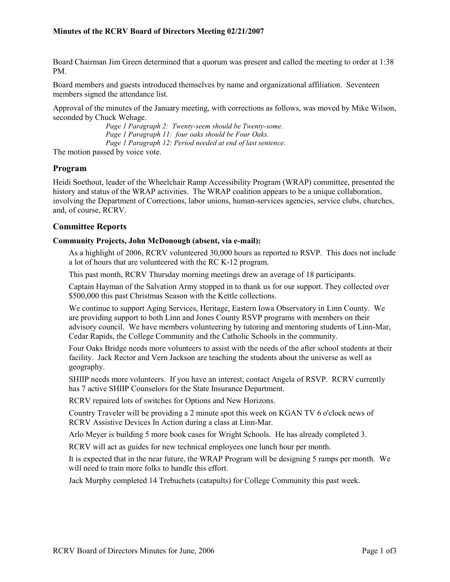Board Chairman Jim Green determined that a quorum was present and called the meeting to order at 1:38 PM.

Board members and guests introduced themselves by name and organizational affiliation. Seventeen members signed the attendance list.

Approval of the minutes of the January meeting, with corrections as follows, was moved by Mike Wilson, seconded by Chuck Wehage.

> *Page 1 Paragraph 2: Twenty-seem should be Twenty-some. Page 1 Paragraph 11: four oaks should be Four Oaks. Page 1 Paragraph 12: Period needed at end of last sentence.*

The motion passed by voice vote.

#### **Program**

Heidi Soethout, leader of the Wheelchair Ramp Accessibility Program (WRAP) committee, presented the history and status of the WRAP activities. The WRAP coalition appears to be a unique collaboration, involving the Department of Corrections, labor unions, human-services agencies, service clubs, churches, and, of course, RCRV.

# **Committee Reports**

#### **Community Projects, John McDonough (absent, via e-mail):**

As a highlight of 2006, RCRV volunteered 30,000 hours as reported to RSVP. This does not include a lot of hours that are volunteered with the RC K-12 program.

This past month, RCRV Thursday morning meetings drew an average of 18 participants.

Captain Hayman of the Salvation Army stopped in to thank us for our support. They collected over \$500,000 this past Christmas Season with the Kettle collections.

We continue to support Aging Services, Heritage, Eastern Iowa Observatory in Linn County. We are providing support to both Linn and Jones County RSVP programs with members on their advisory council. We have members volunteering by tutoring and mentoring students of Linn-Mar, Cedar Rapids, the College Community and the Catholic Schools in the community.

Four Oaks Bridge needs more volunteers to assist with the needs of the after school students at their facility. Jack Rector and Vern Jackson are teaching the students about the universe as well as geography.

SHIIP needs more volunteers. If you have an interest, contact Angela of RSVP. RCRV currently has 7 active SHIIP Counselors for the State Insurance Department.

RCRV repaired lots of switches for Options and New Horizons.

Country Traveler will be providing a 2 minute spot this week on KGAN TV 6 o'clock news of RCRV Assistive Devices In Action during a class at Linn-Mar.

Arlo Meyer is building 5 more book cases for Wright Schools. He has already completed 3.

RCRV will act as guides for new technical employees one lunch hour per month.

It is expected that in the near future, the WRAP Program will be designing 5 ramps per month. We will need to train more folks to handle this effort.

Jack Murphy completed 14 Trebuchets (catapults) for College Community this past week.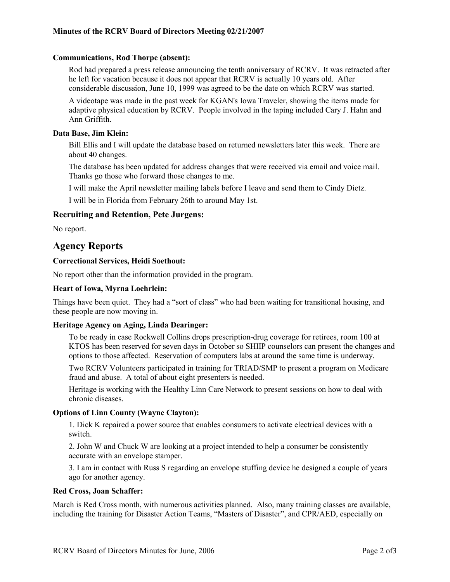#### **Communications, Rod Thorpe (absent):**

Rod had prepared a press release announcing the tenth anniversary of RCRV. It was retracted after he left for vacation because it does not appear that RCRV is actually 10 years old. After considerable discussion, June 10, 1999 was agreed to be the date on which RCRV was started.

A videotape was made in the past week for KGAN's Iowa Traveler, showing the items made for adaptive physical education by RCRV. People involved in the taping included Cary J. Hahn and Ann Griffith.

## **Data Base, Jim Klein:**

Bill Ellis and I will update the database based on returned newsletters later this week. There are about 40 changes.

The database has been updated for address changes that were received via email and voice mail. Thanks go those who forward those changes to me.

I will make the April newsletter mailing labels before I leave and send them to Cindy Dietz.

I will be in Florida from February 26th to around May 1st.

#### **Recruiting and Retention, Pete Jurgens:**

No report.

# **Agency Reports**

#### **Correctional Services, Heidi Soethout:**

No report other than the information provided in the program.

#### **Heart of Iowa, Myrna Loehrlein:**

Things have been quiet. They had a "sort of class" who had been waiting for transitional housing, and these people are now moving in.

#### **Heritage Agency on Aging, Linda Dearinger:**

To be ready in case Rockwell Collins drops prescription-drug coverage for retirees, room 100 at KTOS has been reserved for seven days in October so SHIIP counselors can present the changes and options to those affected. Reservation of computers labs at around the same time is underway.

Two RCRV Volunteers participated in training for TRIAD/SMP to present a program on Medicare fraud and abuse. A total of about eight presenters is needed.

Heritage is working with the Healthy Linn Care Network to present sessions on how to deal with chronic diseases.

#### **Options of Linn County (Wayne Clayton):**

1. Dick K repaired a power source that enables consumers to activate electrical devices with a switch.

2. John W and Chuck W are looking at a project intended to help a consumer be consistently accurate with an envelope stamper.

3. I am in contact with Russ S regarding an envelope stuffing device he designed a couple of years ago for another agency.

#### **Red Cross, Joan Schaffer:**

March is Red Cross month, with numerous activities planned. Also, many training classes are available, including the training for Disaster Action Teams, "Masters of Disaster", and CPR/AED, especially on